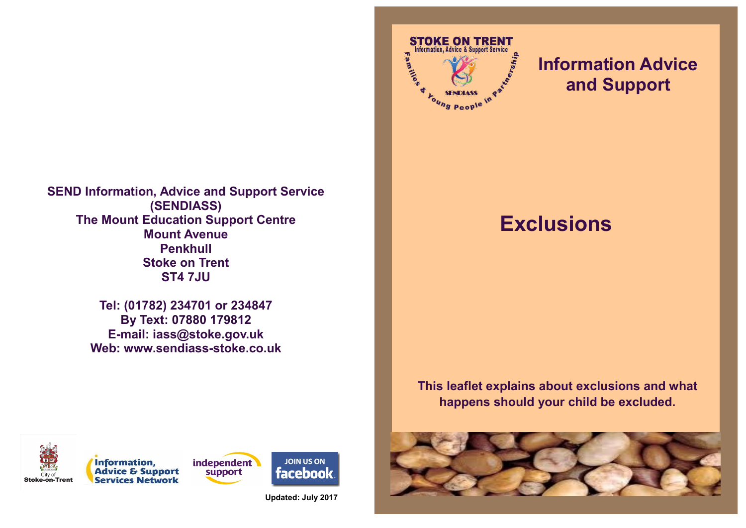**SEND Information, Advice and Support Service (SENDIASS) The Mount Education Support Centre Mount Avenue Penkhull Stoke on Trent ST4 7JU**

> **Tel: (01782) 234701 or 234847 By Text: 07880 179812 E-mail: iass@stoke.gov.uk Web: www.sendiass-stoke.co.uk**



# **Information Advice and Support**

# **Exclusions**

**This leaflet explains about exclusions and what happens should your child be excluded.**









**Updated: July 2017**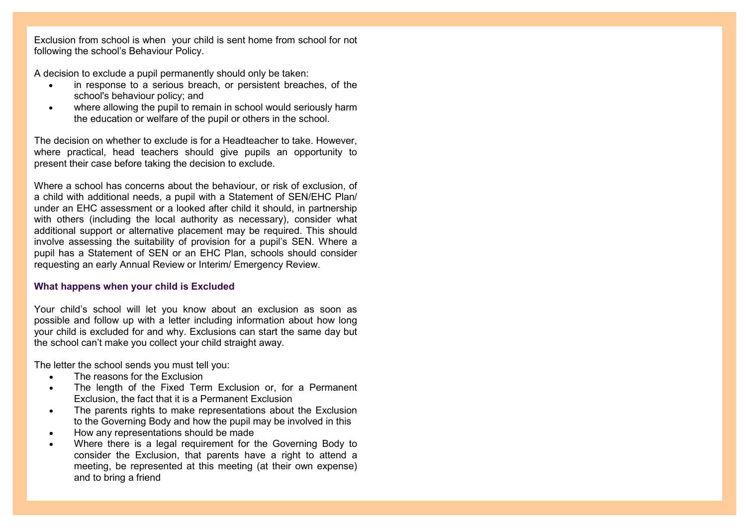Exclusion from school is when your child is sent home from school for not following the school's Behaviour Policy.

A decision to exclude a pupil permanently should only be taken:

- in response to a serious breach, or persistent breaches, of the school's behaviour policy; and
- where allowing the pupil to remain in school would seriously harm the education or welfare of the pupil or others in the school.

The decision on whether to exclude is for a Headteacher to take. However, where practical, head teachers should give pupils an opportunity to present their case before taking the decision to exclude.

Where a school has concerns about the behaviour, or risk of exclusion, of a child with additional needs, a pupil with a Statement of SEN/EHC Plan/ under an EHC assessment or a looked after child it should, in partnership with others (including the local authority as necessary), consider what additional support or alternative placement may be required. This should involve assessing the suitability of provision for a pupil's SEN. Where a pupil has a Statement of SEN or an EHC Plan, schools should consider requesting an early Annual Review or Interim/ Emergency Review.

### **What happens when your child is Excluded**

Your child's school will let you know about an exclusion as soon as possible and follow up with a letter including information about how long your child is excluded for and why. Exclusions can start the same day but the school can't make you collect your child straight away.

The letter the school sends you must tell you:

- The reasons for the Exclusion
- The length of the Fixed Term Exclusion or, for a Permanent Exclusion, the fact that it is a Permanent Exclusion
- The parents rights to make representations about the Exclusion to the Governing Body and how the pupil may be involved in this
- How any representations should be made
- Where there is a legal requirement for the Governing Body to consider the Exclusion, that parents have a right to attend a meeting, be represented at this meeting (at their own expense) and to bring a friend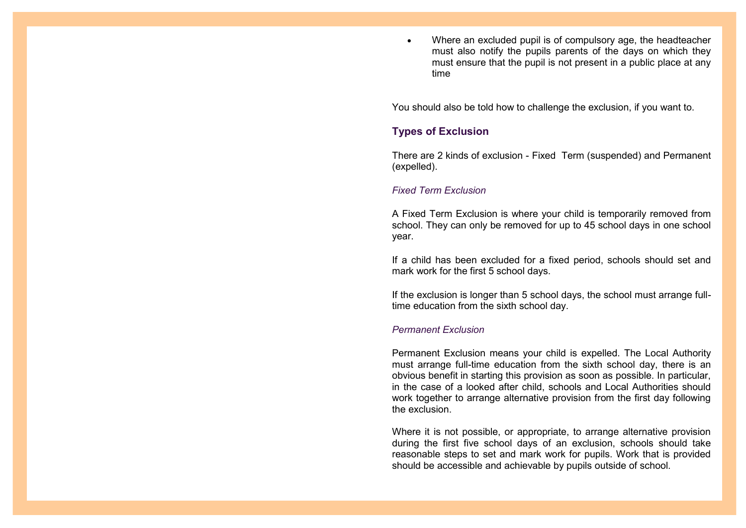• Where an excluded pupil is of compulsory age, the headteacher must also notify the pupils parents of the days on which they must ensure that the pupil is not present in a public place at any time

You should also be told how to challenge the exclusion, if you want to.

## **Types of Exclusion**

There are 2 kinds of exclusion - Fixed Term (suspended) and Permanent (expelled).

#### *Fixed Term Exclusion*

A Fixed Term Exclusion is where your child is temporarily removed from school. They can only be removed for up to 45 school days in one school year.

If a child has been excluded for a fixed period, schools should set and mark work for the first 5 school days.

If the exclusion is longer than 5 school days, the school must arrange fulltime education from the sixth school day.

#### *Permanent Exclusion*

Permanent Exclusion means your child is expelled. The Local Authority must arrange full-time education from the sixth school day, there is an obvious benefit in starting this provision as soon as possible. In particular, in the case of a looked after child, schools and Local Authorities should work together to arrange alternative provision from the first day following the exclusion.

Where it is not possible, or appropriate, to arrange alternative provision during the first five school days of an exclusion, schools should take reasonable steps to set and mark work for pupils. Work that is provided should be accessible and achievable by pupils outside of school.